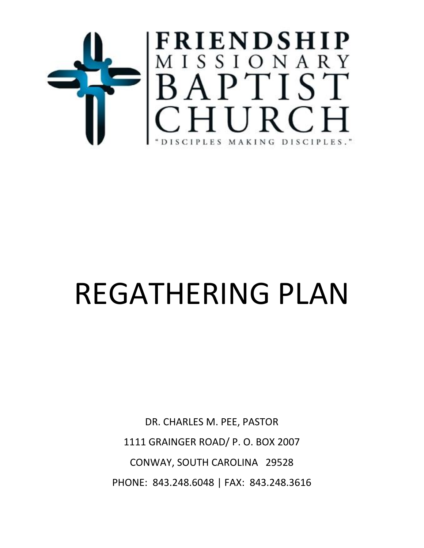

# REGATHERING PLAN

DR. CHARLES M. PEE, PASTOR 1111 GRAINGER ROAD/ P. O. BOX 2007 CONWAY, SOUTH CAROLINA 29528 PHONE: 843.248.6048 | FAX: 843.248.3616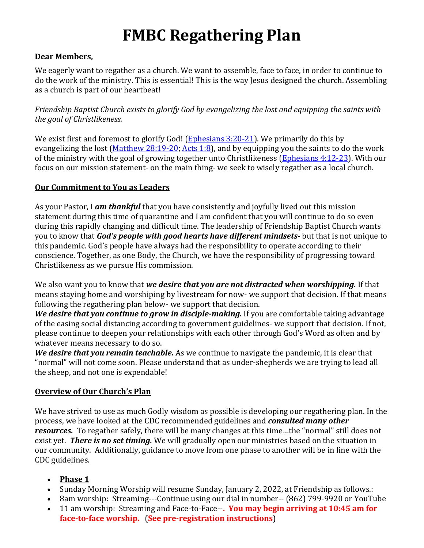## **FMBC Regathering Plan**

#### **Dear Members,**

We eagerly want to regather as a church. We want to assemble, face to face, in order to continue to do the work of the ministry. This is essential! This is the way Jesus designed the church. Assembling as a church is part of our heartbeat!

*Friendship Baptist Church exists to glorify God by evangelizing the lost and equipping the saints with the goal of Christlikeness.*

We exist first and foremost to glorify God! [\(Ephesians 3:20-21\)](https://biblia.com/bible/esv/Eph%203.20-21). We primarily do this by evangelizing the lost [\(Matthew 28:19-20;](https://biblia.com/bible/esv/Matt%2028.19-20) [Acts 1:8\)](https://biblia.com/bible/esv/Acts%201.8), and by equipping you the saints to do the work of the ministry with the goal of growing together unto Christlikeness [\(Ephesians 4:12-23\)](https://biblia.com/bible/esv/Eph%204.12-23). With our focus on our mission statement- on the main thing- we seek to wisely regather as a local church.

#### **Our Commitment to You as Leaders**

As your Pastor, I *am thankful* that you have consistently and joyfully lived out this mission statement during this time of quarantine and I am confident that you will continue to do so even during this rapidly changing and difficult time. The leadership of Friendship Baptist Church wants you to know that *God's people with good hearts have different mindsets*- but that is not unique to this pandemic. God's people have always had the responsibility to operate according to their conscience. Together, as one Body, the Church, we have the responsibility of progressing toward Christlikeness as we pursue His commission.

We also want you to know that *we desire that you are not distracted when worshipping.* If that means staying home and worshiping by livestream for now- we support that decision. If that means following the regathering plan below- we support that decision.

*We desire that you continue to grow in disciple-making.* If you are comfortable taking advantage of the easing social distancing according to government guidelines- we support that decision. If not, please continue to deepen your relationships with each other through God's Word as often and by whatever means necessary to do so.

*We desire that you remain teachable.* As we continue to navigate the pandemic, it is clear that "normal" will not come soon. Please understand that as under-shepherds we are trying to lead all the sheep, and not one is expendable!

#### **Overview of Our Church's Plan**

We have strived to use as much Godly wisdom as possible is developing our regathering plan. In the process, we have looked at the CDC recommended guidelines and *consulted many other resources.* To regather safely, there will be many changes at this time…the "normal" still does not exist yet. *There is no set timing.* We will gradually open our ministries based on the situation in our community. Additionally, guidance to move from one phase to another will be in line with the CDC guidelines.

- **Phase 1**
- Sunday Morning Worship will resume Sunday, January 2, 2022, at Friendship as follows.:
- 8am worship: Streaming---Continue using our dial in number-- (862) 799-9920 or YouTube
- 11 am worship: Streaming and Face-to-Face--**. You may begin arriving at 10:45 am for face-to-face worship.** (**See pre-registration instructions**)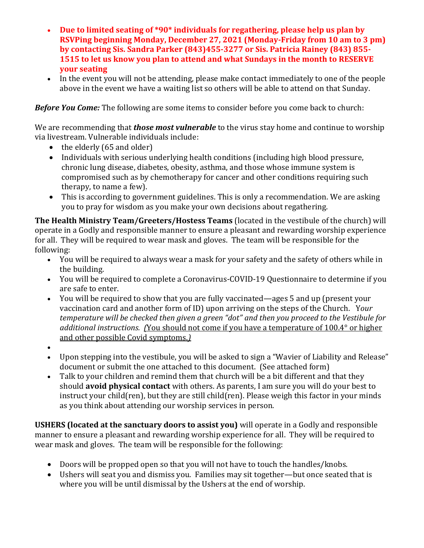- **Due to limited seating of \*90\* individuals for regathering, please help us plan by RSVPing beginning Monday, December 27, 2021 (Monday-Friday from 10 am to 3 pm) by contacting Sis. Sandra Parker (843)455-3277 or Sis. Patricia Rainey (843) 855- 1515 to let us know you plan to attend and what Sundays in the month to RESERVE your seating**
- In the event you will not be attending, please make contact immediately to one of the people above in the event we have a waiting list so others will be able to attend on that Sunday.

*Before You Come:* The following are some items to consider before you come back to church:

We are recommending that *those most vulnerable* to the virus stay home and continue to worship via livestream. Vulnerable individuals include:

- the elderly (65 and older)
- Individuals with serious underlying health conditions (including high blood pressure, chronic lung disease, diabetes, obesity, asthma, and those whose immune system is compromised such as by chemotherapy for cancer and other conditions requiring such therapy, to name a few).
- This is according to government guidelines. This is only a recommendation. We are asking you to pray for wisdom as you make your own decisions about regathering.

**The Health Ministry Team/Greeters/Hostess Teams** (located in the vestibule of the church) will operate in a Godly and responsible manner to ensure a pleasant and rewarding worship experience for all. They will be required to wear mask and gloves. The team will be responsible for the following:

- You will be required to always wear a mask for your safety and the safety of others while in the building.
- You will be required to complete a Coronavirus-COVID-19 Questionnaire to determine if you are safe to enter.
- You will be required to show that you are fully vaccinated—ages 5 and up (present your vaccination card and another form of ID) upon arriving on the steps of the Church. Y*our temperature will be checked then given a green "dot" and then you proceed to the Vestibule for additional instructions. (*You should not come if you have a temperature of 100.4° or higher and other possible Covid symptoms.*)*
- •
- Upon stepping into the vestibule, you will be asked to sign a "Wavier of Liability and Release" document or submit the one attached to this document. (See attached form)
- Talk to your children and remind them that church will be a bit different and that they should **avoid physical contact** with others. As parents, I am sure you will do your best to instruct your child(ren), but they are still child(ren). Please weigh this factor in your minds as you think about attending our worship services in person.

**USHERS (located at the sanctuary doors to assist you)** will operate in a Godly and responsible manner to ensure a pleasant and rewarding worship experience for all. They will be required to wear mask and gloves. The team will be responsible for the following:

- Doors will be propped open so that you will not have to touch the handles/knobs.
- Ushers will seat you and dismiss you. Families may sit together—but once seated that is where you will be until dismissal by the Ushers at the end of worship.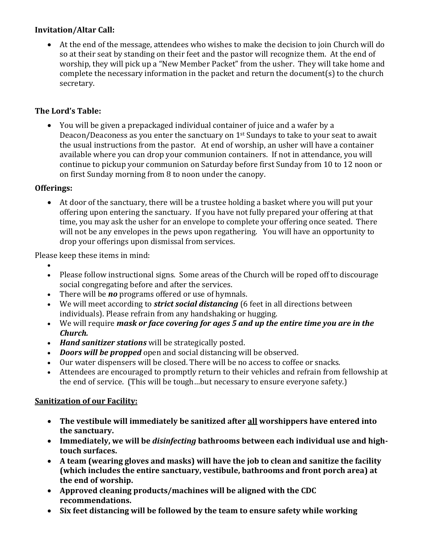#### **Invitation/Altar Call:**

• At the end of the message, attendees who wishes to make the decision to join Church will do so at their seat by standing on their feet and the pastor will recognize them. At the end of worship, they will pick up a "New Member Packet" from the usher. They will take home and complete the necessary information in the packet and return the document(s) to the church secretary.

#### **The Lord's Table:**

• You will be given a prepackaged individual container of juice and a wafer by a Deacon/Deaconess as you enter the sanctuary on 1st Sundays to take to your seat to await the usual instructions from the pastor. At end of worship, an usher will have a container available where you can drop your communion containers. If not in attendance, you will continue to pickup your communion on Saturday before first Sunday from 10 to 12 noon or on first Sunday morning from 8 to noon under the canopy.

#### **Offerings:**

• At door of the sanctuary, there will be a trustee holding a basket where you will put your offering upon entering the sanctuary. If you have not fully prepared your offering at that time, you may ask the usher for an envelope to complete your offering once seated. There will not be any envelopes in the pews upon regathering. You will have an opportunity to drop your offerings upon dismissal from services.

Please keep these items in mind:

- •
- Please follow instructional signs. Some areas of the Church will be roped off to discourage social congregating before and after the services.
- There will be *no* programs offered or use of hymnals.
- We will meet according to *strict social distancing* (6 feet in all directions between individuals). Please refrain from any handshaking or hugging.
- We will require *mask or face covering for ages 5 and up the entire time you are in the Church.*
- *Hand sanitizer stations* will be strategically posted.
- *Doors will be propped* open and social distancing will be observed.
- Our water dispensers will be closed. There will be no access to coffee or snacks.
- Attendees are encouraged to promptly return to their vehicles and refrain from fellowship at the end of service. (This will be tough…but necessary to ensure everyone safety.)

#### **Sanitization of our Facility:**

- **The vestibule will immediately be sanitized after all worshippers have entered into the sanctuary.**
- **Immediately, we will be** *disinfecting* **bathrooms between each individual use and hightouch surfaces.**
- **A team (wearing gloves and masks) will have the job to clean and sanitize the facility (which includes the entire sanctuary, vestibule, bathrooms and front porch area) at the end of worship.**
- **Approved cleaning products/machines will be aligned with the CDC recommendations.**
- **Six feet distancing will be followed by the team to ensure safety while working**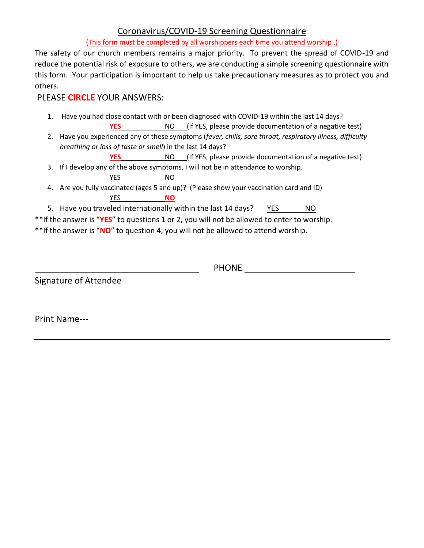#### Coronavirus/COVID-19 Screening Questionnaire

(This form must be completed by all worshippers each time you attend worship .)

The safety of our church members remains a major priority. To prevent the spread of COVID-19 and reduce the potential risk of exposure to others, we are conducting a simple screening questionnaire with this form. Your participation is important to help us take precautionary measures as to protect you and others.

#### PLEASE **CIRCLE** YOUR ANSWERS:

- 1. Have you had close contact with or been diagnosed with COVID-19 within the last 14 days?
	- **YES** NO (If YES, please provide documentation of a negative test)
- 2. Have you experienced any of these symptoms (*fever, chills, sore throat, respiratory illness, difficulty breathing or loss of taste or smell*) in the last 14 days?
	- **YES** NO (If YES, please provide documentation of a negative test)
- 3. If I develop any of the above symptoms, I will not be in attendance to worship. YES NO
- 4. Are you fully vaccinated (ages 5 and up)? (Please show your vaccination card and ID) YES **NO**
- 5. Have you traveled internationally within the last 14 days? YES NO

\*\*If the answer is "**YES**" to questions 1 or 2, you will not be allowed to enter to worship. \*\*If the answer is "**NO**" to question 4, you will not be allowed to attend worship.

Signature of Attendee

PHONE **EXECUTE THE EXECUTIVE SET ASSESSED FOR A SET AND THE SET OF A SET AND THE SET OF A SET OF A SET OF A SET OF A SET OF A SET OF A SET OF A SET OF A SET OF A SET OF A SET OF A SET OF A SET OF A SET OF A SET OF A SET OF** 

Print Name---